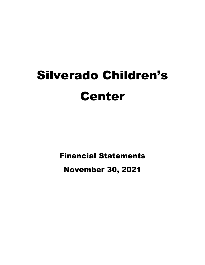# Silverado Children's Center

Financial Statements

November 30, 2021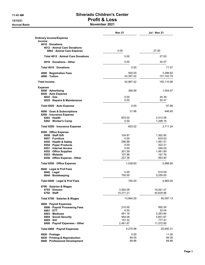#### 11:43 AM Silverado Children's Center 12/15/21 Profit & Loss Accrual Basis **November 2021**

|                                                        | <b>Nov 21</b>       | <b>Jul - Nov 21</b>    |
|--------------------------------------------------------|---------------------|------------------------|
| <b>Ordinary Income/Expense</b><br><b>Income</b>        |                     |                        |
| 4010 Donations                                         |                     |                        |
| 4012 Animal Care Donations<br>6962 Animal Care Expense | 0.00                | 27.00                  |
| Total 4012 Animal Care Donations                       | 0.00                | 27.00                  |
| 4010 Donations - Other                                 | 0.00                | 44.57                  |
| Total 4010 Donations                                   | 0.00                | 71.57                  |
| 4080 Registration Fees<br>4090 Tuition                 | 500.00<br>42,397.42 | 3,296.62<br>151,742.79 |
| <b>Total Income</b>                                    | 42,897.42           | 155,110.98             |
| <b>Expense</b>                                         |                     |                        |
| 6000 Advertising                                       | 368.58              | 1,004.07               |
| 6020 Auto Expense                                      |                     |                        |
| $6022 \cdot Gas$                                       | 0.00                | 45.39                  |
| 6025 · Repairs & Maintenance                           | 0.00                | 52.47                  |
| Total 6020 · Auto Expense                              | 0.00                | 97.86                  |
| 6090 Dues & Subscriptions                              | 31.98               | 446.65                 |
| 6200 · Insurance Expense<br>6203 Health                | 603.02              |                        |
| 6202 · Worker's Comp                                   | 0.00                | 2,412.08<br>1,299.16   |
|                                                        |                     |                        |
| Total 6200 · Insurance Expense                         | 603.02              | 3,711.24               |
| 6550 Office Expense                                    |                     |                        |
| 6958 Staff Gift                                        | 104.87              | 1,362.95               |
| 6957 Furniture                                         | 0.00                | 633.63                 |
| 6555 · Health & Safety                                 | 296.88              | 1,061.51               |
| 6554 Paper Products                                    | 0.00                | 422.21                 |
| 6551 Internet Access                                   | 0.00                | 295.00                 |
| 6552 Office Supplies                                   | 301.59              | 1,481.89               |
| 6553 Website                                           | 107.88              | 167.76                 |
| 6550 Office Expense - Other                            | 227.38              | 563.90                 |
| Total 6550 · Office Expense                            | 1,038.60            | 5,988.85               |
| 6640 Legal & Prof Fees                                 |                     |                        |
| $6642 \cdot$ Legal                                     | 0.00                | 615.00                 |
| 6644 · Bookkeeping                                     | 750.00              | 5,250.00               |
| Total 6640 · Legal & Prof Fees                         | 750.00              | 5,865.00               |
| 6790 · Salaries & Wages                                |                     |                        |
| 6793 Director                                          | 3,593.08            | 19,261.27              |
| $6792 \cdot$ Staff                                     | 10,371.21           | 45,835.86              |
| Total 6790 · Salaries & Wages                          | 13,964.29           | 65,097.13              |
| 6800 · Payroll Expenses                                |                     |                        |
| 6806 · Payroll Processing Fees                         | 210.00              | 892.50                 |
| 6801 · ETT                                             | 6.55                | 32.04                  |
| 6803 Medicare                                          | 481.16              | 2,263.84               |
| 6804 Social Security                                   | 954.08              | 5,601.67               |
| $6805 \cdot SUI$                                       | 157.32              | 777.41                 |
| 6800 · Payroll Expenses - Other                        | 2,461.87            | 11,072.85              |
| Total 6800 · Payroll Expenses                          | 4,270.98            | 20,640.31              |
| 6820 · Postage                                         | 0.00                | 11.00                  |
| 6830 · Printing & Reproduction                         | 84.05               | 84.05                  |
| 6840 · Professional Development                        | 68.86               | 68.86                  |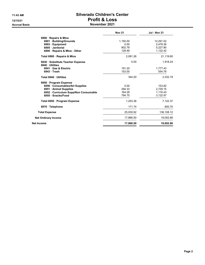#### 11:43 AM Silverado Children's Center 12/15/21 Profit & Loss Accrual Basis **November 2021**

|                                                   | <b>Nov 21</b> | <b>Jul - Nov 21</b> |
|---------------------------------------------------|---------------|---------------------|
| 6900 · Repairs & Mtce                             |               |                     |
| 6901 Building/Grounds                             | 1,150.00      | 12,291.02           |
| 6903 Equipment                                    | 0.00          | 2.478.36            |
| 6905 · Janitorial                                 | 802.78        | 5,227.80            |
| 6900 · Repairs & Mtce - Other                     | 128.48        | 1,122.42            |
| Total 6900 · Repairs & Mtce                       | 2,081.26      | 21,119.60           |
| 6930 Substitute Teacher Expense<br>6940 Utilities | 0.00          | 1.918.24            |
| 6941 Gas & Electric                               | 191.20        | 1,777.43            |
| 6943 Trash                                        | 153.00        | 554.76              |
| Total 6940 · Utilities                            | 344.20        | 2.332.19            |
| 6950 Program Expense                              |               |                     |
| 6956 Consumables/Art Supplies                     | 0.00          | 153.82              |
| 6951 • Animal Supplies                            | 294.33        | 2,729.15            |
| 6952 · Curriculum Supp/Non Consumable             | 164.28        | 1,116.43            |
| 6955 · Snacks/Food                                | 794.75        | 3,122.97            |
| Total 6950 · Program Expense                      | 1,253.36      | 7,122.37            |
| 6970 Telephone                                    | 171.74        | 600.70              |
| <b>Total Expense</b>                              | 25.030.92     | 136,108.12          |
| <b>Net Ordinary Income</b>                        | 17,866.50     | 19,002.86           |
| <b>Net Income</b>                                 | 17,866.50     | 19,002.86           |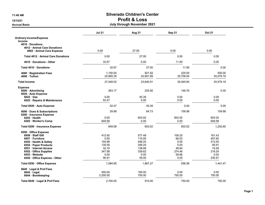### 11:48 AM Silverado Children's Center 12/15/21 Profit & Loss

#### Accrual Basis July through November 2021

|                                  | <b>Jul 21</b> | Aug 21    | Sep 21    | <b>Oct 21</b> |
|----------------------------------|---------------|-----------|-----------|---------------|
| <b>Ordinary Income/Expense</b>   |               |           |           |               |
| <b>Income</b>                    |               |           |           |               |
| 4010 Donations                   |               |           |           |               |
| 4012 Animal Care Donations       |               |           |           |               |
| 6962 Animal Care Expense         | 0.00          | 27.00     | 0.00      | 0.00          |
| Total 4012 Animal Care Donations | 0.00          | 27.00     | 0.00      | 0.00          |
| 4010 Donations - Other           | 32.67         | 0.00      | 11.90     | 0.00          |
| Total 4010 Donations             | 32.67         | 27.00     | 11.90     | 0.00          |
| 4080 · Registration Fees         | 1,150.00      | 921.62    | 225.00    | 500.00        |
| 4090 · Tuition                   | 25,865.35     | 22,691.89 | 35,708.94 | 25,079.19     |
| <b>Total Income</b>              | 27,048.02     | 23,640.51 | 35,945.84 | 25,579.19     |
| <b>Expense</b>                   |               |           |           |               |
| 6000 Advertising                 | 263.17        | 225.56    | 146.76    | 0.00          |
| 6020 · Auto Expense              |               |           |           |               |
| $6022 \cdot Gas$                 | 0.00          | 45.39     | 0.00      | 0.00          |
| 6025 · Repairs & Maintenance     | 52.47         | 0.00      | 0.00      | 0.00          |
| Total 6020 · Auto Expense        | 52.47         | 45.39     | 0.00      | 0.00          |
| 6090 · Dues & Subscriptions      | 29.98         | 64.73     | 159.98    | 159.98        |
| 6200 · Insurance Expense         |               |           |           |               |
| 6203 · Health                    | 0.00          | 603.02    | 603.02    | 603.02        |
| 6202 · Worker's Comp             | 649.58        | 0.00      | 0.00      | 649.58        |
| Total 6200 · Insurance Expense   | 649.58        | 603.02    | 603.02    | 1,252.60      |
| 6550 Office Expense              |               |           |           |               |
| 6958 · Staff Gift                | 412.92        | 577.48    | 106.25    | 161.43        |
| 6957 · Furniture                 | 0.00          | 110.00    | 66.03     | 457.60        |
| 6555 · Health & Safety           | 104.99        | 446.24    | 0.00      | 213.40        |
| 6554 · Paper Products            | 130.05        | 206.25    | 0.00      | 85.91         |
| 6551 Internet Access             | 32.10         | 138.68    | 49.94     | 74.28         |
| 6552 Office Supplies             | 347.98        | 339.62    | 274.46    | 218.24        |
| 6553 Website                     | 0.00          | 0.00      | 59.88     | 0.00          |
| 6550 Office Expense - Other      | 56.91         | 49.00     | 0.00      | 230.61        |
| Total 6550 Office Expense        | 1,084.95      | 1,867.27  | 556.56    | 1,441.47      |
| 6640 Legal & Prof Fees           |               |           |           |               |
| $6642 \cdot$ Legal               | 450.00        | 165.00    | 0.00      | 0.00          |
| 6644 · Bookkeeping               | 2,250.00      | 750.00    | 750.00    | 750.00        |
| Total 6640 · Legal & Prof Fees   | 2.700.00      | 915.00    | 750.00    | 750.00        |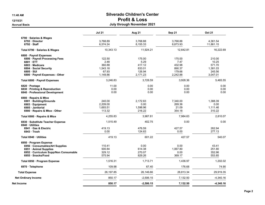### 11:48 AM Silverado Children's Center 12/15/21 Profit & Loss

#### Accrual Basis July through November 2021

|                                                     | <b>Jul 21</b>      | Aug 21           | Sep 21             | <b>Oct 21</b>      |
|-----------------------------------------------------|--------------------|------------------|--------------------|--------------------|
| 6790 Salaries & Wages<br>6793 Director              | 3,768.89           | 3,768.88         | 3,768.88           | 4,361.54           |
| 6792 Staff                                          | 6,574.24           | 8,155.33         | 8,873.93           | 11,861.15          |
| Total 6790 · Salaries & Wages                       | 10,343.13          | 11,924.21        | 12,642.81          | 16,222.69          |
| 6800 · Payroll Expenses                             |                    |                  |                    |                    |
| 6806 · Payroll Processing Fees                      | 122.50             | 175.00           | 175.00             | 210.00             |
| 6801 ETT                                            | 2.48               | 5.29             | 7.47               | 10.25              |
| 6803 Medicare<br>6804 · Social Security             | 360.88<br>1,543.18 | 417.12<br>833.01 | 432.98<br>890.37   | 571.70<br>1,381.03 |
| 6805 · SUI                                          | 67.93              | 126.94           | 179.66             | 245.56             |
| 6800 · Payroll Expenses - Other                     | 1,149.86           | 2,171.23         | 2,242.88           | 3,047.01           |
| Total 6800 · Payroll Expenses                       | 3.246.83           | 3.728.59         | 3,928.36           | 5,465.55           |
| 6820 · Postage                                      | 11.00              | 0.00             | 0.00               | 0.00               |
| 6830 · Printing & Reproduction                      | 0.00               | 0.00             | 0.00               | 0.00               |
| 6840 · Professional Development                     | 0.00               | 0.00             | 0.00               | 0.00               |
| 6900 · Repairs & Mtce                               |                    |                  |                    |                    |
| 6901 · Building/Grounds                             | 240.00<br>2.209.00 | 2,172.63<br>0.00 | 7,340.00<br>269.36 | 1,388.39           |
| 6903 · Equipment<br>6905 · Janitorial               | 1,693.51           | 1,598.96         | 21.09              | 0.00<br>1,111.46   |
| 6900 · Repairs & Mtce - Other                       | 113.32             | 216.22           | 354.18             | 310.22             |
| Total 6900 · Repairs & Mtce                         | 4,255.83           | 3,987.81         | 7,984.63           | 2,810.07           |
|                                                     |                    | 402.75           | 0.00               | 0.00               |
| 6930 · Substitute Teacher Expense<br>6940 Utilities | 1,515.49           |                  |                    |                    |
| 6941 Gas & Electric                                 | 419.13             | 476.59           | 427.57             | 262.94             |
| $6943 \cdot$ Trash                                  | 0.00               | 124.63           | 0.00               | 277.13             |
| Total 6940 · Utilities                              | 419.13             | 601.22           | 427.57             | 540.07             |
| 6950 · Program Expense                              |                    |                  |                    |                    |
| 6956 · Consumables/Art Supplies                     | 110.41             | 0.00             | 0.00               | 43.41              |
| 6951 · Animal Supplies                              | 500.84             | 614.38           | 1,067.80           | 251.80             |
| 6952 · Curriculum Supp/Non Consumable               | 329.12             | 270.07           | 0.00               | 352.96             |
| 6955 · Snacks/Food                                  | 575.94             | 829.26           | 369.17             | 553.85             |
| Total 6950 · Program Expense                        | 1,516.31           | 1,713.71         | 1,436.97           | 1,202.02           |
| 6970 · Telephone                                    | 109.98             | 67.40            | 176.68             | 74.90              |
| <b>Total Expense</b>                                | 26,197.85          | 26,146.66        | 28,813.34          | 29,919.35          |
| <b>Net Ordinary Income</b>                          | 850.17             | $-2,506.15$      | 7,132.50           | $-4,340.16$        |
| Net Income                                          | 850.17             | $-2,506.15$      | 7,132.50           | $-4,340.16$        |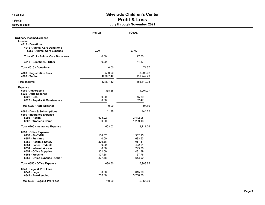#### 11:48 AM Silverado Children's Center 12/15/21 Profit & Loss Accrual Basis July through November 2021

|                                                  | <b>Nov 21</b> | <b>TOTAL</b>     |
|--------------------------------------------------|---------------|------------------|
| <b>Ordinary Income/Expense</b>                   |               |                  |
| <b>Income</b>                                    |               |                  |
| 4010 Donations<br>4012 · Animal Care Donations   |               |                  |
| 6962 · Animal Care Expense                       | 0.00          | 27.00            |
| Total 4012 · Animal Care Donations               | 0.00          | 27.00            |
| 4010 Donations - Other                           | 0.00          | 44.57            |
| Total 4010 Donations                             | 0.00          | 71.57            |
|                                                  |               |                  |
| 4080 · Registration Fees                         | 500.00        | 3.296.62         |
| 4090 · Tuition                                   | 42,397.42     | 151,742.79       |
| <b>Total Income</b>                              | 42,897.42     | 155,110.98       |
| <b>Expense</b>                                   |               |                  |
| 6000 · Advertising                               | 368.58        | 1,004.07         |
| 6020 · Auto Expense                              |               |                  |
| $6022 \cdot Gas$<br>6025 · Repairs & Maintenance | 0.00<br>0.00  | 45.39<br>52.47   |
|                                                  |               |                  |
| Total 6020 · Auto Expense                        | 0.00          | 97.86            |
| 6090 Dues & Subscriptions                        | 31.98         | 446.65           |
| 6200 · Insurance Expense                         |               |                  |
| 6203 · Health                                    | 603.02        | 2,412.08         |
| 6202 · Worker's Comp                             | 0.00          | 1,299.16         |
| Total 6200 · Insurance Expense                   | 603.02        | 3,711.24         |
| 6550 · Office Expense                            |               |                  |
| 6958 · Staff Gift                                | 104.87        | 1,362.95         |
| 6957 · Furniture                                 | 0.00          | 633.63           |
| 6555 · Health & Safety                           | 296.88        | 1,061.51         |
| 6554 · Paper Products<br>6551 Internet Access    | 0.00<br>0.00  | 422.21<br>295.00 |
| 6552 Office Supplies                             | 301.59        | 1,481.89         |
| 6553 Website                                     | 107.88        | 167.76           |
| 6550 Office Expense - Other                      | 227.38        | 563.90           |
| Total 6550 · Office Expense                      | 1,038.60      | 5,988.85         |
| 6640 · Legal & Prof Fees                         |               |                  |
| 6642 · Legal                                     | 0.00          | 615.00           |
| 6644 · Bookkeeping                               | 750.00        | 5,250.00         |
| Total 6640 · Legal & Prof Fees                   | 750.00        | 5,865.00         |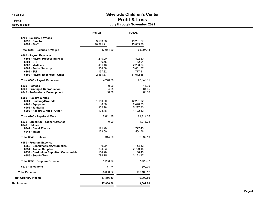### 11:48 AM Silverado Children's Center 12/15/21 Profit & Loss

Accrual Basis July through November 2021

|                                     | <b>Nov 21</b> | <b>TOTAL</b> |
|-------------------------------------|---------------|--------------|
| 6790 Salaries & Wages               |               |              |
| 6793 Director                       | 3,593.08      | 19,261.27    |
| $6792$ Staff                        | 10,371.21     | 45,835.86    |
| Total 6790 · Salaries & Wages       | 13,964.29     | 65,097.13    |
| 6800 · Payroll Expenses             |               |              |
| 6806 · Payroll Processing Fees      | 210.00        | 892.50       |
| 6801 ETT                            | 6.55          | 32.04        |
| 6803 · Medicare                     | 481.16        | 2,263.84     |
| 6804 · Social Security              | 954.08        | 5,601.67     |
| $6805 \cdot SUI$                    | 157.32        | 777.41       |
| 6800 · Payroll Expenses - Other     | 2,461.87      | 11,072.85    |
| Total 6800 · Payroll Expenses       | 4.270.98      | 20,640.31    |
| 6820 · Postage                      | 0.00          | 11.00        |
| 6830 · Printing & Reproduction      | 84.05         | 84.05        |
| 6840 · Professional Development     | 68.86         | 68.86        |
| 6900 · Repairs & Mtce               |               |              |
| 6901 · Building/Grounds             | 1,150.00      | 12,291.02    |
| 6903 · Equipment                    | 0.00          | 2,478.36     |
| 6905 Janitorial                     | 802.78        | 5,227.80     |
| 6900 · Repairs & Mtce - Other       | 128.48        | 1,122.42     |
| Total 6900 · Repairs & Mtce         | 2,081.26      | 21,119.60    |
| 6930 · Substitute Teacher Expense   | 0.00          | 1,918.24     |
| 6940 Utilities                      |               |              |
| 6941 Gas & Electric                 | 191.20        | 1,777.43     |
| 6943 Trash                          | 153.00        | 554.76       |
| Total 6940 · Utilities              | 344.20        | 2,332.19     |
| 6950 · Program Expense              |               |              |
| 6956 · Consumables/Art Supplies     | 0.00          | 153.82       |
| 6951 · Animal Supplies              | 294.33        | 2,729.15     |
| 6952 Curriculum Supp/Non Consumable | 164.28        | 1,116.43     |
| 6955 · Snacks/Food                  | 794.75        | 3,122.97     |
| Total 6950 · Program Expense        | 1,253.36      | 7,122.37     |
| 6970 · Telephone                    | 171.74        | 600.70       |
| <b>Total Expense</b>                | 25,030.92     | 136,108.12   |
| <b>Net Ordinary Income</b>          | 17,866.50     | 19,002.86    |
| Net Income                          | 17,866.50     | 19,002.86    |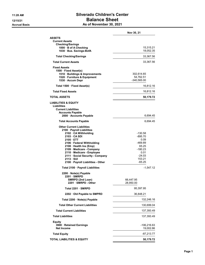# 11:28 AM Silverado Children's Center 12/15/21 Balance Sheet

| As of November 30, 2021 |  |
|-------------------------|--|
|-------------------------|--|

|                                                   | Nov 30, 21      |
|---------------------------------------------------|-----------------|
| <b>ASSETS</b>                                     |                 |
| <b>Current Assets</b>                             |                 |
| <b>Checking/Savings</b><br>1000 · B of A Checking | 15,315.21       |
| 1030 Bus. Savings-BofA                            | 18,052.35       |
| <b>Total Checking/Savings</b>                     | 33,367.56       |
| <b>Total Current Assets</b>                       | 33,367.56       |
| <b>Fixed Assets</b>                               |                 |
| 1500 · Fixed Asset(s)                             |                 |
| 1510 · Buildings & Improvements                   | 302,614.65      |
| 1520 Furniture & Equipment                        | 54,762.51       |
| 1530 · Accum Depr                                 | $-340,565.00$   |
| Total 1500 · Fixed Asset(s)                       | 16,812.16       |
| <b>Total Fixed Assets</b>                         | 16,812.16       |
| TOTAL ASSETS                                      | 50,179.72       |
| <b>LIABILITIES &amp; EQUITY</b>                   |                 |
| Liabilities                                       |                 |
| <b>Current Liabilities</b>                        |                 |
| <b>Accounts Payable</b>                           |                 |
| 2000 Accounts Payable                             | 6,694.45        |
| <b>Total Accounts Payable</b>                     | 6,694.45        |
| <b>Other Current Liabilities</b>                  |                 |
| 2100 · Payroll Liabilities                        |                 |
| 2102 · CA Withholding                             | -130.58         |
| 2103 CA SDI                                       | -895.70<br>0.09 |
| 2105 ETT<br>2106 · Federal Withholding            | -469.89         |
| 2108 Health Ins (Emp)                             | 65.25           |
| 2109 · Medicare - Company                         | -180.23         |
| 2110 Medicare - Employee                          | 0.01            |
| 2111 · Social Security - Company                  | $-24.03$        |
| $2113 \cdot \text{SUI}$                           | 153.21          |
| 2100 · Payroll Liabilities - Other                | $-65.25$        |
| Total 2100 · Payroll Liabilities                  | $-1,547.12$     |
| 2200 · Note(s) Payable<br>2201 SMRPD              |                 |
| SMRPD (2nd Loan)                                  | 66,447.95       |
| 2201 SMRPD - Other                                | 28,950.00       |
| Total 2201 · SMRPD                                | 95,397.95       |
| 2202 Old Payable to SMPRD                         | 36,848.21       |
| Total 2200 · Note(s) Payable                      | 132,246.16      |
| <b>Total Other Current Liabilities</b>            | 130,699.04      |
| <b>Total Current Liabilities</b>                  | 137,393.49      |
| <b>Total Liabilities</b>                          | 137,393.49      |
| Equity                                            |                 |
| 3900 · Retained Earnings                          | -106,216.63     |
| <b>Net Income</b>                                 | 19,002.86       |
| <b>Total Equity</b>                               | $-87,213.77$    |
| <b>TOTAL LIABILITIES &amp; EQUITY</b>             | 50,179.72       |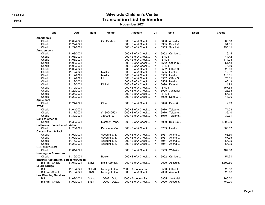#### 11:26 AM Silverado Children's Center 12/15/21 and the contraction Contraction List by Vendor November 2021

| <b>Type</b>                                                                 | <b>Date</b> | Num    | Memo          | <b>Account</b>            | Clr      | <b>Split</b>            | <b>Debit</b> | Credit   |
|-----------------------------------------------------------------------------|-------------|--------|---------------|---------------------------|----------|-------------------------|--------------|----------|
| Albertson's                                                                 |             |        |               |                           |          |                         |              |          |
| Check                                                                       | 11/09/2021  |        | Gift Cards in | $1000 \cdot B$ of A Check | X        | $6000 \cdot$ Advertis   |              | 368.58   |
| Check                                                                       | 11/22/2021  |        |               | $1000 \cdot B$ of A Check | X        | $6955 \cdot$ Snacks/    |              | 54.81    |
| Check                                                                       | 11/29/2021  |        |               | $1000 \cdot B$ of A Check | X.       | $6955 \cdot$ Snacks/    |              | 195.11   |
| Amazon.com                                                                  |             |        |               |                           |          |                         |              |          |
| Check                                                                       | 11/08/2021  |        |               | $1000 \cdot B$ of A Check | х        | $6952 \cdot$ Curricul   |              | 16.14    |
| Check                                                                       | 11/08/2021  |        |               | 1000 · B of A Check       | X        | -SPLIT-                 |              | 44.42    |
| Check                                                                       | 11/08/2021  |        |               | $1000 \cdot B$ of A Check | X        | -SPLIT-                 |              | 114.98   |
| Check                                                                       | 11/08/2021  |        |               | $1000 \cdot B$ of A Check | X        | $6552 \cdot$ Office S   |              | 51.48    |
| Check                                                                       | 11/08/2021  |        |               | $1000 \cdot B$ of A Check | X        | -SPLIT-                 |              | 46.80    |
| Check                                                                       | 11/09/2021  |        |               | $1000 \cdot B$ of A Check | X.       | $6552 \cdot$ Office S   |              | 26.60    |
| Check                                                                       | 11/12/2021  |        | Masks         | 1000 · B of A Check       | X.       | $6555 \cdot$ Health     |              | 12.92    |
| Check                                                                       | 11/12/2021  |        | Masks         | $1000 \cdot B$ of A Check | X        | $6555 \cdot$ Health     |              | 113.31   |
| Check                                                                       | 11/12/2021  |        | Ink           | $1000 \cdot B$ of A Check | X.       | $6552 \cdot$ Office S   |              | 75.31    |
| Check                                                                       | 11/12/2021  |        |               | $1000 \cdot B$ of A Check | X.       | $6555 \cdot$ Health     |              | 66.43    |
| Check                                                                       | 11/18/2021  |        | Digital       | $1000 \cdot B$ of A Check | X        | $6090 \cdot$ Dues &     |              | 14.99    |
| Check                                                                       | 11/19/2021  |        |               | $1000 \cdot B$ of A Check | X        | -SPLIT-                 |              | 157.68   |
| Check                                                                       | 11/22/2021  |        |               | $1000 \cdot B$ of A Check | X.       | 6905 · Janitorial       |              | 25.93    |
| Check                                                                       | 11/24/2021  |        |               | 1000 · B of A Check       | X.       | -SPLIT-                 |              | 57.34    |
| Check                                                                       | 11/29/2021  |        |               | $1000 \cdot B$ of A Check | X        | 6090 · Dues &           |              | 14.00    |
| Apple.com                                                                   |             |        |               |                           |          |                         |              |          |
| Check                                                                       | 11/24/2021  |        | Cloud         | $1000 \cdot B$ of A Check | Χ        | $6090 \cdot$ Dues &     |              | 2.99     |
| AT&T                                                                        |             |        |               |                           |          |                         |              |          |
| Check                                                                       | 11/04/2021  |        |               | $1000 \cdot B$ of A Check | х        | $6970 \cdot$ Telepho    |              | 74.03    |
| Check                                                                       | 11/17/2021  |        | #130242553    | $1000 \cdot B$ of A Check | X        | 6970 · Telepho          |              | 32.10    |
| Check                                                                       | 11/30/2021  |        | 310003103     | $1000 \cdot B$ of A Check | $\times$ | 6970 · Telepho          |              | 30.31    |
| <b>Bank of America</b>                                                      |             |        |               |                           |          |                         |              |          |
| Check                                                                       | 11/30/2021  |        | Monthly Trans | $1000 \cdot B$ of A Check | X        | $1030 \cdot$ Bus. Sa    |              | 1,000.00 |
| <b>California Choice Benefit Admin</b>                                      |             |        |               |                           |          |                         |              |          |
| Check                                                                       | 11/23/2021  |        | December Co   | $1000 \cdot B$ of A Check | X        | $6203 \cdot$ Health     |              | 603.02   |
| <b>Canyon Feed &amp; Tack</b>                                               |             |        |               |                           |          |                         |              |          |
| Check                                                                       | 11/02/2021  |        | Account #737  | $1000 \cdot B$ of A Check | X        | $6951 \cdot$ Animal     |              | 68.50    |
| Check                                                                       | 11/09/2021  |        | Account #737  | $1000 \cdot B$ of A Check | X.       | $6951 \cdot$ Animal     |              | 67.95    |
| Check                                                                       | 11/16/2021  |        | Account #737  | $1000 \cdot B$ of A Check | X        | $6951 \cdot$ Animal     |              | 67.95    |
| Check                                                                       | 11/23/2021  |        | Account #737  | $1000 \cdot B$ of A Check | $\times$ | $6951 \cdot$ Animal     |              | 67.95    |
| <b>GODADDY.COM</b>                                                          |             |        |               |                           |          |                         |              |          |
| Check                                                                       | 11/01/2021  |        |               | $1000 \cdot B$ of A Check | X        | $6553 \cdot$ Website    |              | 107.88   |
|                                                                             |             |        |               |                           |          |                         |              |          |
| <b>Huntington Bookstore</b><br>Check                                        | 11/12/2021  |        | <b>Books</b>  | $1000 \cdot B$ of A Check | $\times$ | $6952 \cdot$ Curricul   |              | 54.71    |
|                                                                             |             |        |               |                           |          |                         |              |          |
| <b>Integrity Restoration &amp; Reconstruction</b><br><b>Bill Pmt -Check</b> |             |        |               |                           |          |                         |              |          |
|                                                                             | 11/01/2021  | 8362   | Mold Remedi   | $1000 \cdot B$ of A Check |          | $2000 \cdot$ Account    |              | 3,302.60 |
| <b>Laurie Briggs</b>                                                        |             |        |               |                           |          |                         |              |          |
| Bill                                                                        | 11/10/2021  | Oct 20 | Mileage to Co | 2000 · Accounts Pa        |          | $6550 \cdot$ Office E   |              | 20.88    |
| <b>Bill Pmt -Check</b>                                                      | 11/10/2021  | 8379   | Mileage to Co | $1000 \cdot B$ of A Check |          | 2000 · Account          |              | 20.88    |
| <b>Lux Cleaning Services</b>                                                |             |        |               |                           |          |                         |              |          |
| Bill                                                                        | 11/02/2021  | Octob  | 10/2021 Octo  | 2000 · Accounts Pa        |          | $6905 \cdot$ Janitorial |              | 760.00   |
| <b>Bill Pmt -Check</b>                                                      | 11/02/2021  | 8363   | 10/2021 Octo  | $1000 \cdot B$ of A Check | X        | $2000 \cdot$ Account    |              | 760.00   |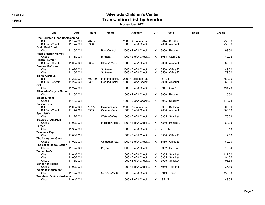### 11:26 AM Silverado Children's Center 12/15/21 and the contraction Contraction List by Vendor

#### November 2021

| <b>Type</b>                          | <b>Date</b> | Num    | Memo            | Account                   | Clr      | <b>Split</b>               | <b>Debit</b> | Credit |
|--------------------------------------|-------------|--------|-----------------|---------------------------|----------|----------------------------|--------------|--------|
| <b>One Counted Finch Bookkeeping</b> |             |        |                 |                           |          |                            |              |        |
| Bill                                 | 11/17/2021  | 2021   |                 | $2000 \cdot$ Accounts Pa  |          | $6644 \cdot \text{Bookke}$ |              | 750.00 |
| <b>Bill Pmt -Check</b>               | 11/17/2021  | 8380   |                 | $1000 \cdot B$ of A Check |          | $2000 \cdot$ Account       |              | 750.00 |
| <b>Orkin Pest Control</b>            |             |        |                 |                           |          |                            |              |        |
| Check                                | 11/19/2021  |        | Pest Control    | $1000 \cdot B$ of A Check | X        | 6900 · Repairs             |              | 98.00  |
| <b>Pacific Ranch Market</b>          |             |        |                 |                           |          |                            |              |        |
| Check                                | 11/15/2021  |        | Birthday        | $1000 \cdot B$ of A Check | X        | 6958 · Staff Gift          |              | 40.92  |
| <b>Piazza Premier</b>                |             |        |                 |                           |          |                            |              |        |
| <b>Bill Pmt -Check</b>               | 11/05/2021  | 8364   | Clara A Medr    | $1000 \cdot B$ of A Check | X        | 2000 · Account             |              | 382.61 |
| <b>Procare Software</b>              |             |        |                 |                           |          |                            |              |        |
| Check                                | 11/02/2021  |        | Software        | $1000 \cdot B$ of A Check | X        | $6550 \cdot$ Office E      |              | 49.00  |
| Check                                | 11/15/2021  |        | Software        | $1000 \cdot B$ of A Check | $\times$ | $6550 \cdot$ Office E      |              | 79.00  |
| <b>Sarkis Cakmak</b>                 |             |        |                 |                           |          |                            |              |        |
| Bill                                 | 11/22/2021  | 402709 | Flooring Instal | 2000 · Accounts Pa        |          | -SPLIT-                    |              | 850.00 |
| <b>Bill Pmt -Check</b>               | 11/22/2021  | 8381   | Flooring Instal | $1000 \cdot B$ of A Check |          | $2000 \cdot$ Account       |              | 850.00 |
| SCE                                  |             |        |                 |                           |          |                            |              |        |
| Check                                | 11/22/2021  |        |                 | $1000 \cdot B$ of A Check | X        | $6941 \cdot$ Gas &         |              | 191.20 |
| <b>Silverado Canyon Market</b>       |             |        |                 |                           |          |                            |              |        |
| Check                                | 11/19/2021  |        |                 | $1000 \cdot B$ of A Check | X        | 6900 $\cdot$ Repairs       |              | 5.50   |
| <b>Smart &amp; Final</b>             |             |        |                 |                           |          |                            |              |        |
| Check                                | 11/18/2021  |        |                 | $1000 \cdot B$ of A Check | $\times$ | $6955 \cdot$ Snacks/       |              | 148.73 |
| Soriano, Juan                        |             |        |                 |                           |          |                            |              |        |
| Bill                                 | 11/05/2021  | 11/5/2 | October Servi   | $2000 \cdot$ Accounts Pa  |          | $6901 \cdot$ Building      |              | 300.00 |
| <b>Bill Pmt -Check</b>               | 11/17/2021  | 8365   | October Servi   | $1000 \cdot B$ of A Check |          | $2000 \cdot$ Account       |              | 300.00 |
| Sparklett's                          |             |        |                 |                           |          |                            |              |        |
| Check                                | 11/12/2021  |        | Water-Coffee    | $1000 \cdot B$ of A Check | X        | $6955 \cdot$ Snacks/       |              | 76.83  |
| <b>Staples Credit Plan</b>           |             |        |                 |                           |          |                            |              |        |
| Check                                | 11/02/2021  |        | Incident/Ouch   | $1000 \cdot B$ of A Check | X        | 6830 $\cdot$ Printing      |              | 84.05  |
| <b>Target</b>                        |             |        |                 |                           |          |                            |              |        |
| Check                                | 11/30/2021  |        |                 | $1000 \cdot B$ of A Check | $\times$ | -SPLIT-                    |              | 75.13  |
| <b>Teachers Pay</b>                  |             |        |                 |                           |          |                            |              |        |
| Check                                | 11/04/2021  |        |                 | $1000 \cdot B$ of A Check | X        | $6550 \cdot$ Office E      |              | 9.50   |
| <b>The Computer Guys</b>             |             |        |                 |                           |          |                            |              |        |
| Check                                | 11/02/2021  |        | Computer Re     | $1000 \cdot B$ of A Check | X        | $6550 \cdot$ Office E      |              | 69.00  |
| <b>The Lakeside Collection</b>       |             |        |                 |                           |          |                            |              |        |
| Check                                | 11/12/2021  |        | Paypal          | $1000 \cdot B$ of A Check | X        | 6952 · Curricul            |              | 16.84  |
| <b>Trader Joe's</b>                  |             |        |                 |                           |          |                            |              |        |
| Check                                | 11/01/2021  |        |                 | $1000 \cdot B$ of A Check | Χ        | $6955 \cdot$ Snacks/       |              | 117.50 |
| Check                                | 11/08/2021  |        |                 | $1000 \cdot B$ of A Check | X        | $6955 \cdot$ Snacks/       |              | 94.65  |
| Check                                | 11/18/2021  |        |                 | $1000 \cdot B$ of A Check | X        | $6955 \cdot$ Snacks/       |              | 93.35  |
| <b>Verizon Wireless</b>              |             |        |                 |                           |          |                            |              |        |
| Check                                | 11/02/2021  |        |                 | $1000 \cdot B$ of A Check | X        | $6970 \cdot$ Telepho       |              | 35.30  |
| <b>Waste Management</b>              |             |        |                 |                           |          |                            |              |        |
| Check                                | 11/19/2021  |        | 8-55395-1500    | $1000 \cdot B$ of A Check | X        | $6943 \cdot$ Trash         |              | 153.00 |
| <b>Woodward's Ace Hardware</b>       |             |        |                 |                           |          |                            |              |        |
|                                      |             |        |                 |                           |          |                            |              | 43.05  |
| Check                                | 11/04/2021  |        |                 | $1000 \cdot B$ of A Check | X        | -SPLIT-                    |              |        |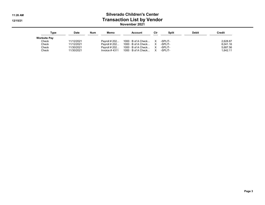#### 11:26 AM Silverado Children's Center 12/15/21 and the contraction Contraction List by Vendor November 2021

| Type                | <b>Date</b> | Num | Memo           | Account                                   | Cir | <b>Split</b> | <b>Debit</b> | <b>Credit</b> |
|---------------------|-------------|-----|----------------|-------------------------------------------|-----|--------------|--------------|---------------|
| <b>Worksite Pay</b> |             |     |                |                                           |     |              |              |               |
| Check               | 11/12/2021  |     |                | Payroll # 202 $1000 \cdot B$ of A Check X |     | -SPLIT-      |              | 2.628.87      |
| Check               | 11/12/2021  |     |                | Payroll # 202 $1000 \cdot B$ of A Check X |     | -SPLIT-      |              | 8.041.16      |
| Check               | 11/30/2021  |     |                | Payroll # 202 $1000 \cdot B$ of A Check X |     | -SPLIT-      |              | 5.687.56      |
| Check               | 11/30/2021  |     | Invoice # 4311 | $1000 \cdot B$ of A Check X -SPLIT-       |     |              |              | 1.642.11      |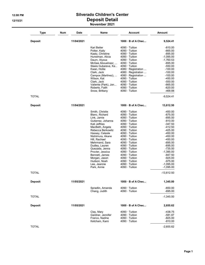#### 12:08 PM Silverado Children's Center 12/15/21 Deposit Detail November 2021

| Type           | Num<br><b>Date</b> | <b>Name</b>                              | <b>Account</b>                               | <b>Amount</b>            |
|----------------|--------------------|------------------------------------------|----------------------------------------------|--------------------------|
| <b>Deposit</b> | 11/04/2021         |                                          | $1000 \cdot B$ of A Chec                     | 9,524.41                 |
|                |                    | Kari Beiter                              | $4090 \cdot$ Tuition                         | $-810.00$                |
|                |                    | Potter, Kaily                            | $4090 \cdot$ Tuition                         | $-665.00$                |
|                |                    | Kaatz, Christine                         | 4090 · Tuition                               | $-895.00$                |
|                |                    | Hunstman, Alicia                         | $4090 \cdot$ Tuition                         | -1,095.00                |
|                |                    | Daum, Alyssa                             | $4090 \cdot$ Tuition<br>$4090 \cdot$ Tuition | $-1,760.53$<br>$-695.00$ |
|                |                    | McGee Abouelnasr,<br>Sleeis Gubareva, Ka | $4090 \cdot$ Tuition                         | $-550.00$                |
|                |                    | Kwan, Hollie                             | 4080 · Registration                          | $-100.00$                |
|                |                    | Clark, Jack                              | 4080 · Registration                          | $-100.00$                |
|                |                    | Campos (Martinez),                       | 4080 · Registration                          | $-100.00$                |
|                |                    | Wilson, Kat                              | $4090 \cdot$ Tuition                         | $-450.00$                |
|                |                    | Clark, Jack                              | $4090 \cdot$ Tuition                         | $-550.00$                |
|                |                    | Valiente (Park), Jon                     | $4090 \cdot$ Tuition                         | $-665.00$                |
|                |                    | Roberts, Faith<br>Snow, Brittany         | $4090 \cdot$ Tuition<br>$4090 \cdot$ Tuition | $-620.00$<br>-468.88     |
| <b>TOTAL</b>   |                    |                                          |                                              | $-9,524.41$              |
| <b>Deposit</b> | 11/04/2021         |                                          | 1000 · B of A Chec                           | 13,612.50                |
|                |                    | Smith, Christie                          | $4090 \cdot$ Tuition                         | $-450.00$                |
|                |                    | Blanc, Richard                           | $4090 \cdot$ Tuition                         | $-675.00$                |
|                |                    | Link, Jamie                              | $4090 \cdot$ Tuition                         | $-695.00$                |
|                |                    | Gutierrez, Johanna                       | $4090 \cdot$ Tuition                         | $-810.00$                |
|                |                    | Kati Jeffries                            | $4090 \cdot$ Tuition                         | $-347.50$                |
|                |                    | MacBeth, Angela                          | $4090 \cdot$ Tuition                         | $-412.50$                |
|                |                    | Rebecca Berkowitz                        | $4090 \cdot$ Tuition                         | $-425.00$                |
|                |                    | Hassey, Celeste                          | $4090 \cdot$ Tuition                         | $-450.00$                |
|                |                    | Nishimura, Akane                         | $4090 \cdot$ Tuition<br>$4090 \cdot$ Tuition | $-450.00$                |
|                |                    | Hill, Rachael<br>Mehrmand, Sara          | $4090 \cdot$ Tuition                         | $-450.00$<br>$-695.00$   |
|                |                    | Dudley, Lauren                           | $4090 \cdot$ Tuition                         | $-695.00$                |
|                |                    | Quezada, Jenna                           | $4090 \cdot$ Tuition                         | $-735.00$                |
|                |                    | Procter, Jessica                         | 4090 · Tuition                               | $-1,385.00$              |
|                |                    | Bennett, James                           | $4090 \cdot$ Tuition                         | $-847.50$                |
|                |                    | Morgan, Jason                            | $4090 \cdot$ Tuition                         | $-925.00$                |
|                |                    | Hudson, Noah                             | $4090 \cdot$ Tuition                         | -975.00                  |
|                |                    | Lee, Jeannie<br>Park, Annie              | $4090 \cdot$ Tuition<br>$4090 \cdot$ Tuition | -1,095.00<br>-1,095.00   |
| <b>TOTAL</b>   |                    |                                          |                                              | $-13,612.50$             |
| <b>Deposit</b> | 11/05/2021         |                                          | 1000 · B of A Chec                           | 1,345.00                 |
|                |                    | Spradlin, Amanda                         | $4090 \cdot$ Tuition                         | $-650.00$                |
|                |                    | Chang, Judith                            | 4090 · Tuition                               | $-695.00$                |
| <b>TOTAL</b>   |                    |                                          |                                              | $-1,345.00$              |
| <b>Deposit</b> | 11/05/2021         |                                          | $1000 \cdot B$ of A Chec                     | 2,655.62                 |
|                |                    | Clay, Mary                               | $4090 \cdot$ Tuition                         | -438.75                  |
|                |                    | Gardner, Jennifer                        | $4090 \cdot$ Tuition                         | $-581.87$                |
|                |                    | Franco, Nadine                           | 4090 · Tuition                               | $-825.00$                |
|                |                    | Ketcham, Kami                            | $4090 \cdot$ Tuition                         | $-810.00$                |
| <b>TOTAL</b>   |                    |                                          |                                              | $-2,655.62$              |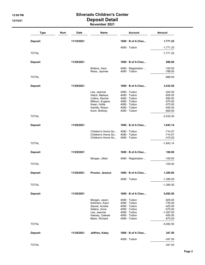# 12:08 PM Silverado Children's Center 12/15/21 Deposit Detail

| November 2021 |  |
|---------------|--|
|---------------|--|

| <b>Type</b>    | Num | Date       | <b>Name</b>                                                                                                              | <b>Account</b>                                                                                                                                                       | <b>Amount</b>                                                                             |
|----------------|-----|------------|--------------------------------------------------------------------------------------------------------------------------|----------------------------------------------------------------------------------------------------------------------------------------------------------------------|-------------------------------------------------------------------------------------------|
| <b>Deposit</b> |     | 11/10/2021 |                                                                                                                          | $1000 \cdot B$ of A Chec                                                                                                                                             | 1,771.25                                                                                  |
|                |     |            |                                                                                                                          | $4090 \cdot$ Tuition                                                                                                                                                 | $-1,771.25$                                                                               |
| <b>TOTAL</b>   |     |            |                                                                                                                          |                                                                                                                                                                      | $-1,771.25$                                                                               |
| <b>Deposit</b> |     | 11/29/2021 |                                                                                                                          | $1000 \cdot B$ of A Chec                                                                                                                                             | 888.00                                                                                    |
|                |     |            | Bollens, Sara<br>Reiss, Jaymee                                                                                           | 4080 · Registration<br>$4090 \cdot$ Tuition                                                                                                                          | $-100.00$<br>$-788.00$                                                                    |
| <b>TOTAL</b>   |     |            |                                                                                                                          |                                                                                                                                                                      | $-888.00$                                                                                 |
| <b>Deposit</b> |     | 11/29/2021 |                                                                                                                          | $1000 \cdot B$ of A Chec                                                                                                                                             | 3,532.50                                                                                  |
|                |     |            | Lee, Jeannie<br>Hatch, Melissa<br>Collins, Rachel<br>Milburn, Eugene<br>Kwan, Hollie<br>Gentile, Robyn<br>Kuhn, Brittney | $4090 \cdot$ Tuition<br>$4090 \cdot$ Tuition<br>$4090 \cdot$ Tuition<br>$4090 \cdot$ Tuition<br>$4090 \cdot$ Tuition<br>$4090 \cdot$ Tuition<br>$4090 \cdot$ Tuition | $-202.50$<br>$-500.00$<br>$-580.00$<br>$-575.00$<br>$-575.00$<br>$-450.00$<br>$-650.00$   |
| <b>TOTAL</b>   |     |            |                                                                                                                          |                                                                                                                                                                      | $-3,532.50$                                                                               |
| <b>Deposit</b> |     | 11/29/2021 |                                                                                                                          | $1000 \cdot B$ of A Chec                                                                                                                                             | 1,843.14                                                                                  |
|                |     |            | Children's Home So<br>Children's Home So<br>Children's Home So                                                           | $4090 \cdot$ Tuition<br>$4090 \cdot$ Tuition<br>4090 · Tuition                                                                                                       | -714.07<br>$-714.07$<br>$-415.00$                                                         |
| <b>TOTAL</b>   |     |            |                                                                                                                          |                                                                                                                                                                      | $-1,843.14$                                                                               |
| <b>Deposit</b> |     | 11/29/2021 |                                                                                                                          | $1000 \cdot B$ of A Chec                                                                                                                                             | 100.00                                                                                    |
|                |     |            | Morgan, Jillian                                                                                                          | 4080 · Registration                                                                                                                                                  | $-100.00$                                                                                 |
| <b>TOTAL</b>   |     |            |                                                                                                                          |                                                                                                                                                                      | $-100.00$                                                                                 |
| <b>Deposit</b> |     | 11/29/2021 | Proctor, Jessica                                                                                                         | $1000 \cdot B$ of A Chec                                                                                                                                             | 1,385.00                                                                                  |
|                |     |            |                                                                                                                          | 4090 · Tuition                                                                                                                                                       | $-1,385.00$                                                                               |
| <b>TOTAL</b>   |     |            |                                                                                                                          |                                                                                                                                                                      | $-1,385.00$                                                                               |
| <b>Deposit</b> |     | 11/30/2021 |                                                                                                                          | $1000 \cdot B$ of A Chec                                                                                                                                             | 5,082.50                                                                                  |
|                |     |            | Morgan, Jason<br>Ketcham, Kami<br>Saurat, Aurelie<br>Sellers, Anne<br>Lee, Jeannie<br>Hassey, Celeste<br>Blanc, Richard  | $4090 \cdot$ Tuition<br>$4090 \cdot$ Tuition<br>$4090 \cdot$ Tuition<br>$4090 \cdot$ Tuition<br>4090 · Tuition<br>$4090 \cdot$ Tuition<br>4090 · Tuition             | $-925.00$<br>$-735.00$<br>$-425.00$<br>$-575.00$<br>$-1,297.50$<br>$-450.00$<br>$-675.00$ |
| <b>TOTAL</b>   |     |            |                                                                                                                          |                                                                                                                                                                      | $-5,082.50$                                                                               |
| <b>Deposit</b> |     | 11/30/2021 | Jeffries, Kaley                                                                                                          | $1000 \cdot B$ of A Chec                                                                                                                                             | 347.50                                                                                    |
|                |     |            |                                                                                                                          | $4090 \cdot$ Tuition                                                                                                                                                 | $-347.50$                                                                                 |
| <b>TOTAL</b>   |     |            |                                                                                                                          |                                                                                                                                                                      | $-347.50$                                                                                 |